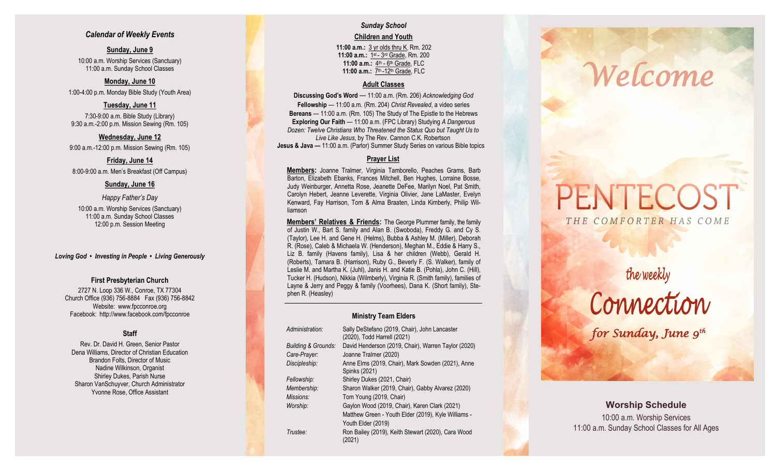## *Calendar of Weekly Events*

**Sunday, June 9** 10:00 a.m. Worship Services (Sanctuary) 11:00 a.m. Sunday School Classes

**Monday, June 10** 1:00 -4:00 p.m. Monday Bible Study (Youth Area)

**Tuesday, June 11** 7:30 -9:00 a.m. Bible Study (Library) 9:30 a.m. -2:00 p.m. Mission Sewing (Rm. 105)

**Wednesday, June 12** 9:00 a.m. -12:00 p.m. Mission Sewing (Rm. 105)

**Friday, June 14** 8:00 -9:00 a.m. Men's Breakfast (Off Campus)

## **Sunday, June 16**

*Happy Father's Day* 10:00 a.m. Worship Services (Sanctuary) 11:00 a.m. Sunday School Classes 12:00 p.m. Session Meeting

*Loving God • Investing in People • Living Generously*

## **First Presbyterian Church**

2727 N. Loop 336 W., Conroe, TX 77304 Church Office (936) 756 -8884 Fax (936) 756 -8842 Website: [www.fpcconroe.org](http://www.fpcconroe.org/) Facebook: <http://www.facebook.com/fpcconroe>

## **Staff**

Rev. Dr. David H. Green, Senior Pastor Dena Williams, Director of Christian Education Brandon Folts, Director of Music Nadine Wilkinson, Organist Shirley Dukes, Parish Nurse Sharon VanSchuyver, Church Administrator Yvonne Rose, Office Assistant

## *Sunday School*  **Children and Youth**

**11:00 a.m.:** 3 yr olds thru K, Rm. 202 11:00 a.m.: 1st - 3rd Grade, Rm. 200 11:00 a.m.: 4<sup>th</sup> - 6<sup>th</sup> Grade, FLC 11:00 a.m.: 7<sup>th</sup> -12<sup>th</sup> Grade, FLC

### **Adult Classes**

**Discussing God's Word**  — 11:00 a.m. (Rm. 206) *Acknowledging God* **Fellowship** — 11:00 a.m. (Rm. 204) *Christ Revealed*, a video series **Bereans** — 11:00 a.m. (Rm. 105) The Study of The Epistle to the Hebrews **Exploring Our Faith**  — 11:00 a.m. (FPC Library) Studying *A Dangerous Dozen: Twelve Christians Who Threatened the Status Quo but Taught Us to Live Like Jesus*, by The Rev. Cannon C.K. Robertson **Jesus & Java —** 11:00 a.m. (Parlor) Summer Study Series on various Bible topics

## **Prayer List**

**Members :** Joanne Tralmer, Virginia Tamborello, Peaches Grams, Barb Barton, Elizabeth Ebanks, Frances Mitchell, Ben Hughes, Lorraine Bosse, Judy Weinburger, Annetta Rose, Jeanette DeFee, Marilyn Noel, Pat Smith, Carolyn Hebert, Jeanne Leverette, Virginia Olivier, Jane LaMaster, Evelyn Kenward, Fay Harrison, Tom & Alma Braaten, Linda Kimberly, Philip Williamson

**Members' Relatives & Friends:** The George Plummer family, the family of Justin W., Bart S. family and Alan B. (Swoboda), Freddy G. and Cy S. (Taylor), Lee H. and Gene H. (Helms), Bubba & Ashley M. (Miller), Deborah R. (Rose), Caleb & Michaela W. (Henderson), Meghan M., Eddie & Harry S., Liz B. family (Havens family), Lisa & her children (Webb), Gerald H. (Roberts), Tamara B. (Harrison), Ruby G., Beverly F. (S. Walker), family of Leslie M. and Martha K. (Juhl), Janis H. and Katie B. (Pohla), John C. (Hill), Tucker H. (Hudson), Nikkia (Wilmberly), Virginia R. (Smith family), families of Layne & Jerry and Peggy & family (Voorhees), Dana K. (Short family), Stephen R. (Heasley)

### **Ministry Team Elders**

| Administration:                | Sally DeStefano (2019, Chair), John Lancaster<br>(2020), Todd Harrell (2021) |  |
|--------------------------------|------------------------------------------------------------------------------|--|
| <b>Building &amp; Grounds:</b> | David Henderson (2019, Chair), Warren Taylor (2020)                          |  |
| Care-Prayer:                   | Joanne Tralmer (2020)                                                        |  |
| Discipleship:                  | Anne Elms (2019, Chair), Mark Sowden (2021), Anne<br>Spinks (2021)           |  |
| Fellowship:                    | Shirley Dukes (2021, Chair)                                                  |  |
| Membership:                    | Sharon Walker (2019, Chair), Gabby Alvarez (2020)                            |  |
| Missions:                      | Tom Young (2019, Chair)                                                      |  |
| Worship:                       | Gaylon Wood (2019, Chair), Karen Clark (2021)                                |  |
|                                | Matthew Green - Youth Elder (2019), Kyle Williams -                          |  |
|                                | Youth Elder (2019)                                                           |  |
| Trustee:                       | Ron Bailey (2019), Keith Stewart (2020), Cara Wood<br>(2021)                 |  |

# *Welcome*

## PENTECOS<sup>®</sup> THE COMFORTER HAS COME

## the weekly

Connection

*for Sunday, June 9th* 

**Worship Schedule** 10:00 a.m. Worship Services 11:00 a.m. Sunday School Classes for All Ages